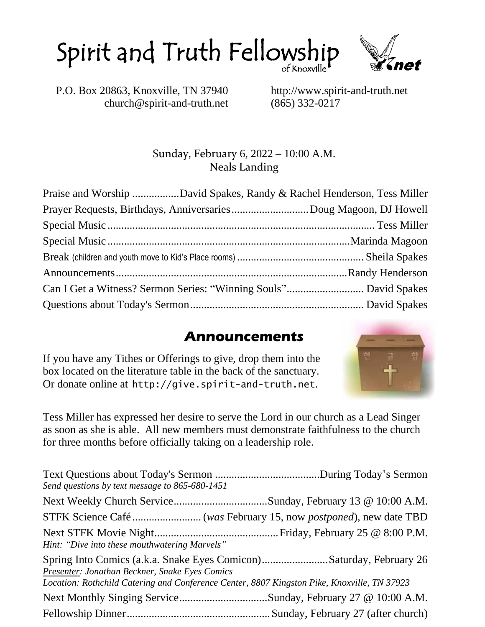of Knoxville Spirit and Truth Fellowship



P.O. Box 20863, Knoxville, TN 37940 http://www.spirit-and-truth.net church@spirit-and-truth.net (865) 332-0217

#### Sunday, February 6, 2022 – 10:00 A.M. Neals Landing

| Praise and Worship David Spakes, Randy & Rachel Henderson, Tess Miller |  |
|------------------------------------------------------------------------|--|
|                                                                        |  |
|                                                                        |  |
|                                                                        |  |
|                                                                        |  |
|                                                                        |  |
|                                                                        |  |
|                                                                        |  |

#### **Announcements**

If you have any Tithes or Offerings to give, drop them into the box located on the literature table in the back of the sanctuary. Or donate online at http://give.spirit-and-truth.net.



Tess Miller has expressed her desire to serve the Lord in our church as a Lead Singer as soon as she is able. All new members must demonstrate faithfulness to the church for three months before officially taking on a leadership role.

| Send questions by text message to 865-680-1451                                                                                                |                                                                     |
|-----------------------------------------------------------------------------------------------------------------------------------------------|---------------------------------------------------------------------|
|                                                                                                                                               |                                                                     |
|                                                                                                                                               |                                                                     |
| <b>Hint:</b> "Dive into these mouthwatering Marvels"                                                                                          |                                                                     |
| Presenter: Jonathan Beckner, Snake Eyes Comics<br>Location: Rothchild Catering and Conference Center, 8807 Kingston Pike, Knoxville, TN 37923 | Spring Into Comics (a.k.a. Snake Eyes Comicon)Saturday, February 26 |
|                                                                                                                                               | Next Monthly Singing ServiceSunday, February 27 @ 10:00 A.M.        |
|                                                                                                                                               |                                                                     |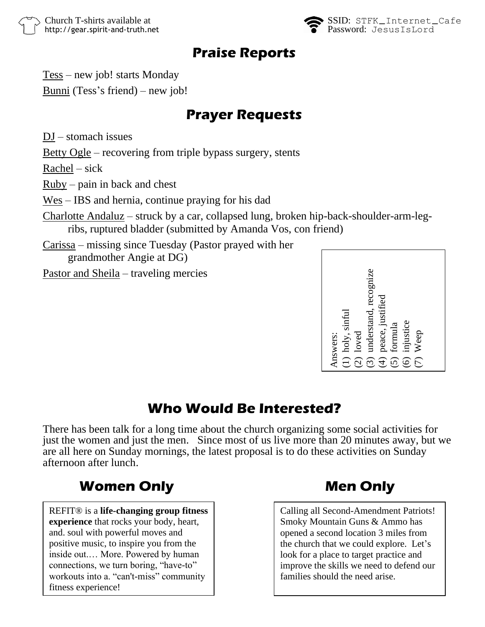

#### **Praise Reports**

Tess – new job! starts Monday

Bunni (Tess's friend) – new job!

#### **Prayer Requests**

DJ – stomach issues

Betty Ogle – recovering from triple bypass surgery, stents

 $Rachel - sick$ 

Ruby – pain in back and chest

Wes – IBS and hernia, continue praying for his dad

Charlotte Andaluz – struck by a car, collapsed lung, broken hip-back-shoulder-arm-legribs, ruptured bladder (submitted by Amanda Vos, con friend)

Carissa – missing since Tuesday (Pastor prayed with her grandmother Angie at DG)

Pastor and Sheila – traveling mercies



#### **Who Would Be Interested?**

There has been talk for a long time about the church organizing some social activities for just the women and just the men. Since most of us live more than 20 minutes away, but we are all here on Sunday mornings, the latest proposal is to do these activities on Sunday afternoon after lunch. **Who Would Be Interested?**<br> **Who Would Be Interested?**<br> **EXECTS ANSIGE SECTS SECTS**<br> **Who Would Be Interested?**<br> **EXECTS**<br> **EXECTS**<br> **EXECTS**<br> **EXECTS**<br> **EXECTS**<br> **EXECTS**<br> **EXECTS**<br> **EXECTS**<br> **EXECTS**<br> **EXECTS**<br> **EXECTS** 

REFIT® is a **life-changing group fitness experience** that rocks your body, heart, and. soul with powerful moves and positive music, to inspire you from the inside out.… More. Powered by human connections, we turn boring, "have-to" workouts into a. "can't-miss" community fitness experience!

Calling all Second-Amendment Patriots! Smoky Mountain Guns & Ammo has opened a second location 3 miles from the church that we could explore. Let's look for a place to target practice and improve the skills we need to defend our families should the need arise.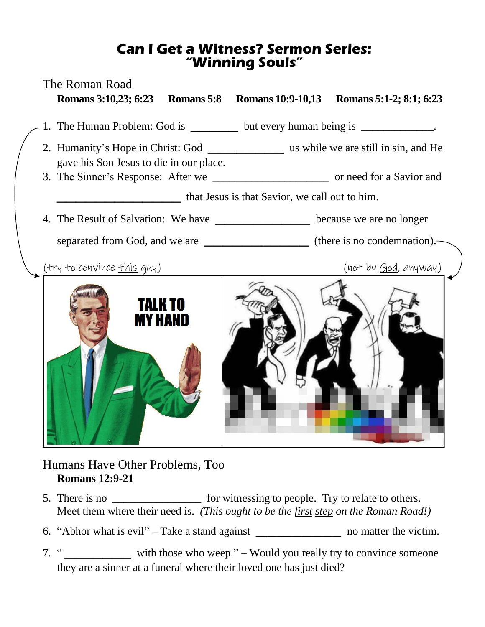#### **Can I Get a Witness? Sermon Series: "Winning Souls"**



#### Humans Have Other Problems, Too **Romans 12:9-21**

- 5. There is no **the contract of the same is no** for witnessing to people. Try to relate to others. Meet them where their need is. *(This ought to be the first step on the Roman Road!)*
- 6. "Abhor what is evil" Take a stand against \_\_\_\_\_\_\_\_\_ no matter the victim.
- 7. " with those who weep." Would you really try to convince someone they are a sinner at a funeral where their loved one has just died?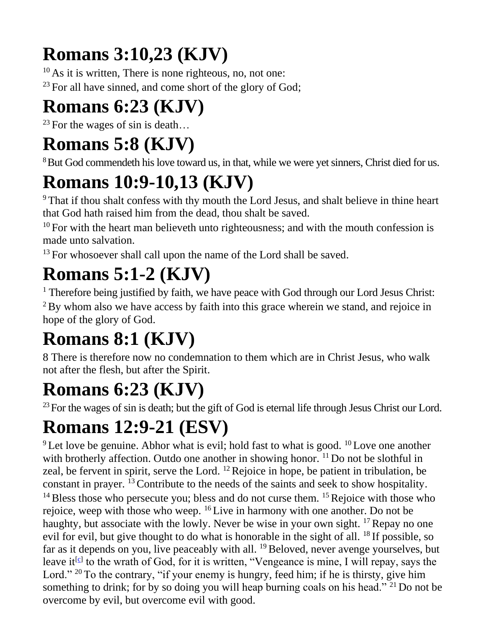## **Romans 3:10,23 (KJV)**

 $10$  As it is written, There is none righteous, no, not one:  $23$  For all have sinned, and come short of the glory of God;

## **Romans 6:23 (KJV)**

<sup>23</sup> For the wages of sin is death...

#### **Romans 5:8 (KJV)**

<sup>8</sup>But God commendeth his love toward us, in that, while we were yet sinners, Christ died for us.

## **Romans 10:9-10,13 (KJV)**

<sup>9</sup> That if thou shalt confess with thy mouth the Lord Jesus, and shalt believe in thine heart that God hath raised him from the dead, thou shalt be saved.

 $10$  For with the heart man believeth unto righteousness; and with the mouth confession is made unto salvation.

<sup>13</sup> For whosoever shall call upon the name of the Lord shall be saved.

## **Romans 5:1-2 (KJV)**

<sup>1</sup> Therefore being justified by faith, we have peace with God through our Lord Jesus Christ:  $2$ By whom also we have access by faith into this grace wherein we stand, and rejoice in hope of the glory of God.

## **Romans 8:1 (KJV)**

8 There is therefore now no condemnation to them which are in Christ Jesus, who walk not after the flesh, but after the Spirit.

### **Romans 6:23 (KJV)**

 $^{23}$  For the wages of sin is death; but the gift of God is eternal life through Jesus Christ our Lord.

## **Romans 12:9-21 (ESV)**

 $9$  Let love be genuine. Abhor what is evil; hold fast to what is good.  $10$  Love one another with brotherly affection. Outdo one another in showing honor. <sup>11</sup> Do not be slothful in zeal, be fervent in spirit, serve the Lord. <sup>12</sup> Rejoice in hope, be patient in tribulation, be constant in prayer. <sup>13</sup> Contribute to the needs of the saints and seek to show hospitality.  $14$  Bless those who persecute you; bless and do not curse them.  $15$  Rejoice with those who rejoice, weep with those who weep. <sup>16</sup> Live in harmony with one another. Do not be haughty, but associate with the lowly. Never be wise in your own sight. <sup>17</sup> Repay no one evil for evil, but give thought to do what is honorable in the sight of all. <sup>18</sup> If possible, so far as it depends on you, live peaceably with all. <sup>19</sup> Beloved, never avenge yourselves, but leave it<sup>[\[c\]](https://www.biblegateway.com/passage/?search=Romans+12%3A9-21&version=ESV#fen-ESV-28249c)</sup> to the wrath of God, for it is written, "Vengeance is mine, I will repay, says the Lord." <sup>20</sup> To the contrary, "if your enemy is hungry, feed him; if he is thirsty, give him something to drink; for by so doing you will heap burning coals on his head."<sup>21</sup> Do not be overcome by evil, but overcome evil with good.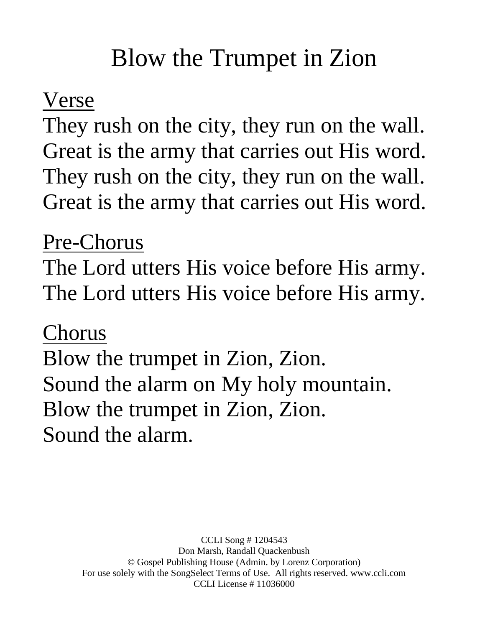# Blow the Trumpet in Zion

### Verse

They rush on the city, they run on the wall. Great is the army that carries out His word. They rush on the city, they run on the wall. Great is the army that carries out His word.

#### Pre-Chorus

The Lord utters His voice before His army. The Lord utters His voice before His army.

#### Chorus

Blow the trumpet in Zion, Zion. Sound the alarm on My holy mountain. Blow the trumpet in Zion, Zion. Sound the alarm.

> CCLI Song # 1204543 Don Marsh, Randall Quackenbush © Gospel Publishing House (Admin. by Lorenz Corporation) For use solely with the SongSelect Terms of Use. All rights reserved. www.ccli.com CCLI License # 11036000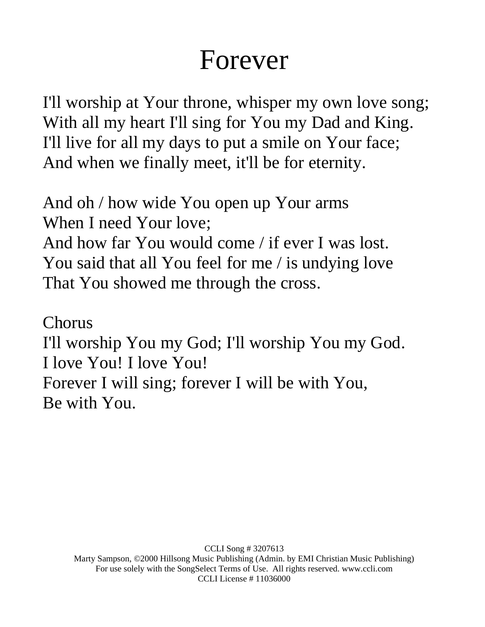# Forever

I'll worship at Your throne, whisper my own love song; With all my heart I'll sing for You my Dad and King. I'll live for all my days to put a smile on Your face; And when we finally meet, it'll be for eternity.

And oh / how wide You open up Your arms When I need Your love; And how far You would come / if ever I was lost. You said that all You feel for me / is undying love That You showed me through the cross.

Chorus I'll worship You my God; I'll worship You my God. I love You! I love You! Forever I will sing; forever I will be with You, Be with You.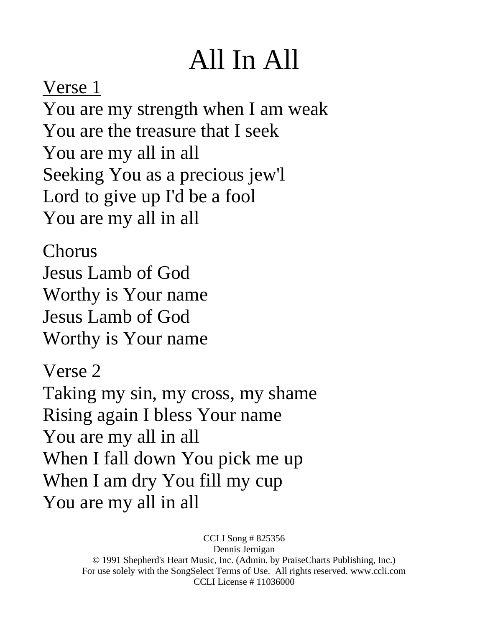# All In All

Verse 1 You are my strength when I am weak You are the treasure that I seek You are my all in all Seeking You as a precious jew'l Lord to give up I'd be a fool You are my all in all

Chorus Jesus Lamb of God Worthy is Your name Jesus Lamb of God Worthy is Your name

Verse 2 Taking my sin, my cross, my shame Rising again I bless Your name You are my all in all When I fall down You pick me up When I am dry You fill my cup You are my all in all

> CCLI Song # 825356 Dennis Jernigan © 1991 Shepherd's Heart Music, Inc. (Admin. by PraiseCharts Publishing, Inc.) For use solely with the SongSelect Terms of Use. All rights reserved. www.ccli.com CCLI License # 11036000